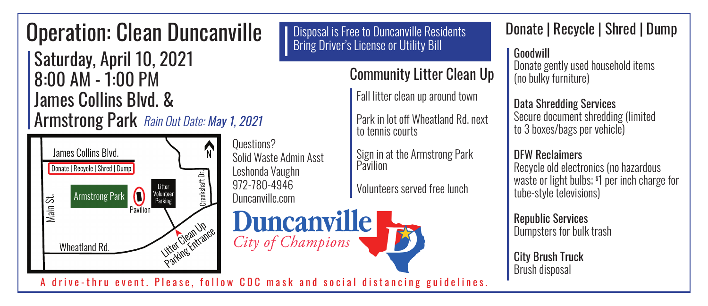# **Operation: Clean Duncanville** | Disposal is Free to Duncanville Resi<br> **Bring Driver's License or Utility Bill**

| Saturday, April 10, 2021 | 8:00 AM - 1:00 PM James Collins Blvd. & James Collins Blvd. & **Armstrong Park** Rain Out Date: May 1, 2021

James Collins Blvd. Donate | Recycle | Shred | Dump Crankshaft Dr. **Litter**  $\bigcirc$ Volunteer<br>Parking **Armstrong Park** Main St. Pavilion Litter Ocan Upe Wheatland Rd.

Questions? Solid Waste Admin Asst Leshonda Vaughn 972-780-4946 Leshonda Vaughn Duncanville.com

Duncanville

City of Champions

Disposal is Free to Duncanville Residents Disposal is Free to Duncanville Residents Bring Driver's License or Utility Bill

Community Litter Clean Up Community Litter Clean Up

Fall litter clean up around town Fall litter clean up around town

Park in lot off Wheatland Rd. next to tennis courts to tennis courts Park in lot off Wheatland Rd. next

Sign in at the Armstrong Park Pavilion Pavilion Sign in at the Armstrong Park

Volunteers served free lunch Volunteers served free lunch

Donate | Recycle | Shred | Dump Donate | Recycle | Shred | Dump

Goodwill Goodwill

Donate gently used household items Donate gently used household items (no bulky furniture) (no bulky furniture)

Data Shredding Services Data Shredding Services Secure document shredding (limited Secure document shredding (limited to 3 boxes/bags per vehicle) to 3 boxes/bags per vehicle)

DFW Reclaimers DFW Reclaimers Recycle old electronics (no hazardous Recycle old electronics (no hazardous waste or light bulbs; \$ 1 per inch charge for waste or light bulbs; \$ 1 per inch charge for tube-style televisions) tube-style televisions)

Republic Services Republic Services Dumpsters for bulk trash Dumpsters for bulk trash

City Brush Truck City Brush Truck Brush disposal Brush disposal

A drive-thru event. Please, follow CDC mask and social distancing guidelines. A drive-thru event. Please, follow CDC mask and social distancing guidelines.